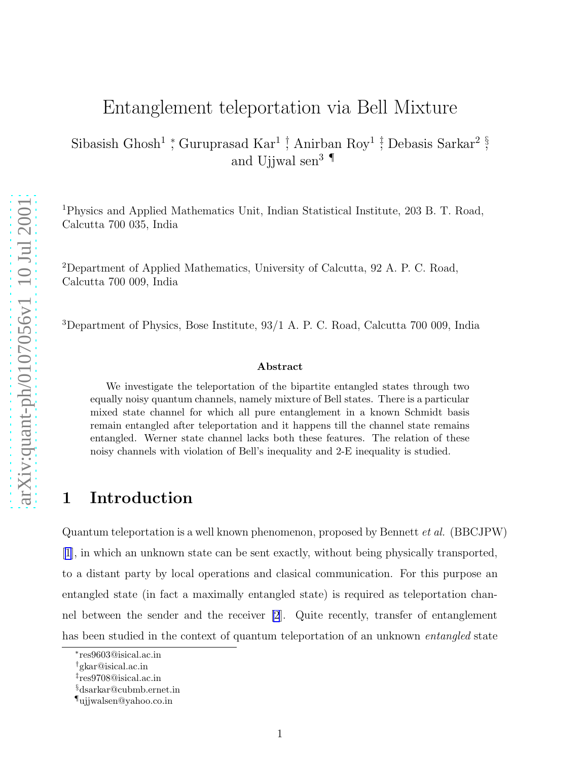# Entanglement teleportation via Bell Mixture

Sibasish Ghosh<sup>1</sup> \*, Guruprasad Kar<sup>1</sup> † Anirban Roy<sup>1</sup> ‡ Debasis Sarkar<sup>2</sup> § and Ujjwal sen 3 ¶

<sup>1</sup>Physics and Applied Mathematics Unit, Indian Statistical Institute, 203 B. T. Road, Calcutta 700 035, India

<sup>2</sup>Department of Applied Mathematics, University of Calcutta, 92 A. P. C. Road, Calcutta 700 009, India

<sup>3</sup>Department of Physics, Bose Institute, 93/1 A. P. C. Road, Calcutta 700 009, India

#### Abstract

We investigate the teleportation of the bipartite entangled states through two equally noisy quantum channels, namely mixture of Bell states. There is a particular mixed state channel for which all pure entanglement in a known Schmidt basis remain entangled after teleportation and it happens till the channel state remains entangled. Werner state channel lacks both these features. The relation of these noisy channels with violation of Bell's inequality and 2-E inequality is studied.

### 1 Introduction

Quantum teleportation is a well known phenomenon, proposed by Bennett  $et al.$  (BBCJPW) [\[1\]](#page-6-0), in which an unknown state can be sent exactly, without being physically transported, to a distant party by local operations and clasical communication. For this purpose an entangled state (in fact a maximally entangled state) is required as teleportation channel between the sender and the receiver [\[2](#page-6-0)]. Quite recently, transfer of entanglement has been studied in the context of quantum teleportation of an unknown *entangled* state

<sup>∗</sup> res9603@isical.ac.in

<sup>†</sup>gkar@isical.ac.in

<sup>‡</sup> res9708@isical.ac.in

<sup>§</sup>dsarkar@cubmb.ernet.in

<sup>¶</sup>ujjwalsen@yahoo.co.in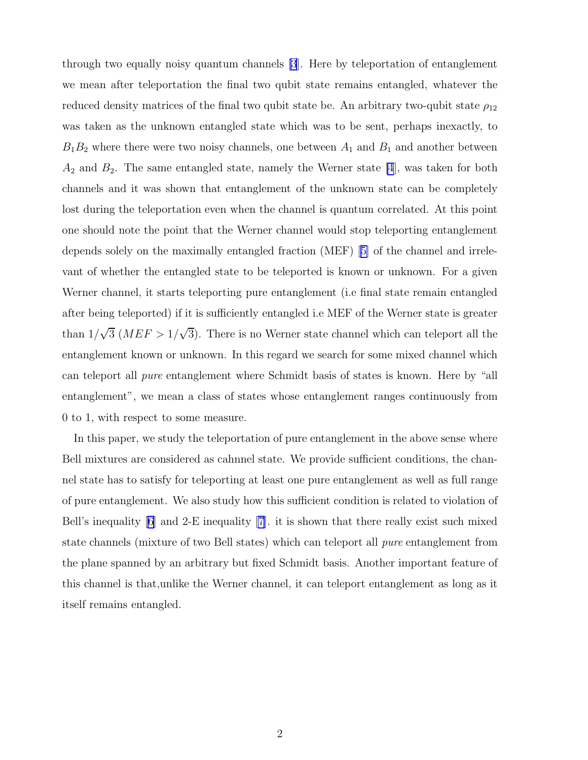through two equally noisy quantum channels [\[3](#page-6-0)]. Here by teleportation of entanglement we mean after teleportation the final two qubit state remains entangled, whatever the reduced density matrices of the final two qubit state be. An arbitrary two-qubit state  $\rho_{12}$ was taken as the unknown entangled state which was to be sent, perhaps inexactly, to  $B_1B_2$  where there were two noisy channels, one between  $A_1$  and  $B_1$  and another between  $A_2$  and  $B_2$ . The same entangled state, namely the Werner state [\[4](#page-6-0)], was taken for both channels and it was shown that entanglement of the unknown state can be completely lost during the teleportation even when the channel is quantum correlated. At this point one should note the point that the Werner channel would stop teleporting entanglement depends solely on the maximally entangled fraction (MEF)[[5\]](#page-6-0) of the channel and irrelevant of whether the entangled state to be teleported is known or unknown. For a given Werner channel, it starts teleporting pure entanglement (i.e final state remain entangled after being teleported) if it is sufficiently entangled i.e MEF of the Werner state is greater than  $1/\sqrt{3}$  (MEF >  $1/\sqrt{3}$ ). There is no Werner state channel which can teleport all the entanglement known or unknown. In this regard we search for some mixed channel which can teleport all pure entanglement where Schmidt basis of states is known. Here by "all entanglement", we mean a class of states whose entanglement ranges continuously from 0 to 1, with respect to some measure.

In this paper, we study the teleportation of pure entanglement in the above sense where Bell mixtures are considered as cahnnel state. We provide sufficient conditions, the channel state has to satisfy for teleporting at least one pure entanglement as well as full range of pure entanglement. We also study how this sufficient condition is related to violation of Bell's inequality [\[6\]](#page-6-0) and 2-E inequality [\[7](#page-6-0)]. it is shown that there really exist such mixed state channels (mixture of two Bell states) which can teleport all pure entanglement from the plane spanned by an arbitrary but fixed Schmidt basis. Another important feature of this channel is that,unlike the Werner channel, it can teleport entanglement as long as it itself remains entangled.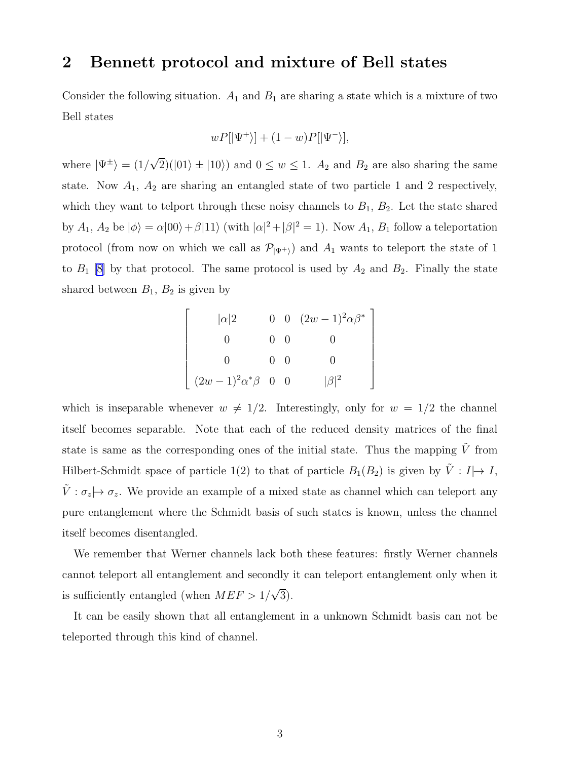### 2 Bennett protocol and mixture of Bell states

Consider the following situation.  $A_1$  and  $B_1$  are sharing a state which is a mixture of two Bell states

$$
wP[|\Psi^+\rangle] + (1-w)P[|\Psi^-\rangle],
$$

where  $|\Psi^{\pm}\rangle = (1/\sqrt{2})(|01\rangle \pm |10\rangle)$  and  $0 \le w \le 1$ .  $A_2$  and  $B_2$  are also sharing the same state. Now  $A_1$ ,  $A_2$  are sharing an entangled state of two particle 1 and 2 respectively, which they want to telport through these noisy channels to  $B_1, B_2$ . Let the state shared by  $A_1$ ,  $A_2$  be  $|\phi\rangle = \alpha|00\rangle + \beta|11\rangle$  (with  $|\alpha|^2 + |\beta|^2 = 1$ ). Now  $A_1$ ,  $B_1$  follow a teleportation protocol (from now on which we call as  $\mathcal{P}_{|\Psi^+\rangle}$ ) and  $A_1$  wants to teleport the state of 1 to  $B_1$  [\[8\]](#page-6-0) by that protocol. The same protocol is used by  $A_2$  and  $B_2$ . Finally the state shared between  $B_1$ ,  $B_2$  is given by

$$
\begin{bmatrix}\n|\alpha|2 & 0 & 0 & (2w-1)^2 \alpha \beta^* \\
0 & 0 & 0 & 0 \\
0 & 0 & 0 & 0 \\
(2w-1)^2 \alpha^* \beta & 0 & 0 & |\beta|^2\n\end{bmatrix}
$$

which is inseparable whenever  $w \neq 1/2$ . Interestingly, only for  $w = 1/2$  the channel itself becomes separable. Note that each of the reduced density matrices of the final state is same as the corresponding ones of the initial state. Thus the mapping  $\tilde{V}$  from Hilbert-Schmidt space of particle 1(2) to that of particle  $B_1(B_2)$  is given by  $\tilde{V} : I \rightarrow I$ ,  $\tilde{V}$  :  $\sigma_z \mapsto \sigma_z$ . We provide an example of a mixed state as channel which can teleport any pure entanglement where the Schmidt basis of such states is known, unless the channel itself becomes disentangled.

We remember that Werner channels lack both these features: firstly Werner channels cannot teleport all entanglement and secondly it can teleport entanglement only when it is sufficiently entangled (when  $MEF > 1/\sqrt{3}$ ).

It can be easily shown that all entanglement in a unknown Schmidt basis can not be teleported through this kind of channel.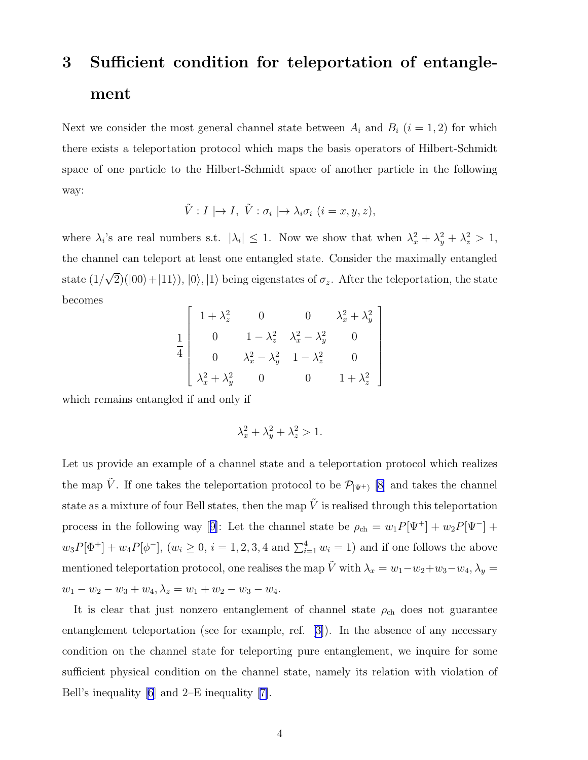# 3 Sufficient condition for teleportation of entanglement

Next we consider the most general channel state between  $A_i$  and  $B_i$  ( $i = 1, 2$ ) for which there exists a teleportation protocol which maps the basis operators of Hilbert-Schmidt space of one particle to the Hilbert-Schmidt space of another particle in the following way:

$$
\tilde{V}: I \mid \rightarrow I, \ \tilde{V}: \sigma_i \mid \rightarrow \lambda_i \sigma_i \ (i=x, y, z),
$$

where  $\lambda_i$ 's are real numbers s.t.  $|\lambda_i| \leq 1$ . Now we show that when  $\lambda_x^2 + \lambda_y^2 + \lambda_z^2 > 1$ , the channel can teleport at least one entangled state. Consider the maximally entangled state  $(1/\sqrt{2})(|00\rangle+|11\rangle), |0\rangle, |1\rangle$  being eigenstates of  $\sigma_z$ . After the teleportation, the state becomes

$$
\frac{1}{4} \begin{bmatrix} 1 + \lambda_z^2 & 0 & 0 & \lambda_x^2 + \lambda_y^2 \\ 0 & 1 - \lambda_z^2 & \lambda_x^2 - \lambda_y^2 & 0 \\ 0 & \lambda_x^2 - \lambda_y^2 & 1 - \lambda_z^2 & 0 \\ \lambda_x^2 + \lambda_y^2 & 0 & 0 & 1 + \lambda_z^2 \end{bmatrix}
$$

which remains entangled if and only if

$$
\lambda_x^2 + \lambda_y^2 + \lambda_z^2 > 1.
$$

Let us provide an example of a channel state and a teleportation protocol which realizes the map  $\tilde{V}$ . If one takes the teleportation protocol to be  $\mathcal{P}_{|\Psi^+|}$  [\[8](#page-6-0)] and takes the channel state as a mixture of four Bell states, then the map  $\tilde{V}$  is realised through this teleportation processin the following way [[9\]](#page-6-0): Let the channel state be  $\rho_{ch} = w_1 P[\Psi^+] + w_2 P[\Psi^-] +$  $w_3P[\Phi^+] + w_4P[\phi^-]$ ,  $(w_i \ge 0, i = 1, 2, 3, 4 \text{ and } \sum_{i=1}^4 w_i = 1)$  and if one follows the above mentioned teleportation protocol, one realises the map  $\tilde{V}$  with  $\lambda_x = w_1 - w_2 + w_3 - w_4$ ,  $\lambda_y =$  $w_1 - w_2 - w_3 + w_4$ ,  $\lambda_z = w_1 + w_2 - w_3 - w_4$ .

It is clear that just nonzero entanglement of channel state  $\rho_{ch}$  does not guarantee entanglement teleportation (see for example, ref.[[3\]](#page-6-0)). In the absence of any necessary condition on the channel state for teleporting pure entanglement, we inquire for some sufficient physical condition on the channel state, namely its relation with violation of Bell's inequality [\[6\]](#page-6-0) and 2–E inequality[[7\]](#page-6-0).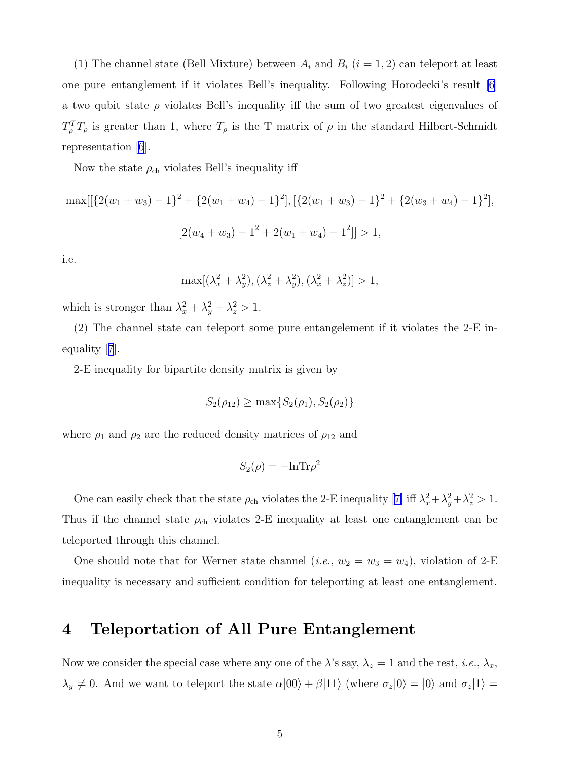(1) The channel state (Bell Mixture) between  $A_i$  and  $B_i$  ( $i = 1, 2$ ) can teleport at least one pure entanglement if it violates Bell's inequality. Following Horodecki's result [\[6](#page-6-0)] a two qubit state  $\rho$  violates Bell's inequality iff the sum of two greatest eigenvalues of  $T_{\rho}^{T}T_{\rho}$  is greater than 1, where  $T_{\rho}$  is the T matrix of  $\rho$  in the standard Hilbert-Schmidt representation [\[6](#page-6-0)].

Now the state  $\rho_{ch}$  violates Bell's inequality iff

$$
\max[[\{2(w_1+w_3)-1\}^2+\{2(w_1+w_4)-1\}^2], [\{2(w_1+w_3)-1\}^2+\{2(w_3+w_4)-1\}^2],
$$
  

$$
[2(w_4+w_3)-1^2+2(w_1+w_4)-1^2]]>1,
$$

i.e.

$$
\max[(\lambda_x^2 + \lambda_y^2), (\lambda_z^2 + \lambda_y^2), (\lambda_x^2 + \lambda_z^2)] > 1,
$$

which is stronger than  $\lambda_x^2 + \lambda_y^2 + \lambda_z^2 > 1$ .

(2) The channel state can teleport some pure entangelement if it violates the 2-E inequality[[7](#page-6-0)].

2-E inequality for bipartite density matrix is given by

$$
S_2(\rho_{12}) \ge \max\{S_2(\rho_1), S_2(\rho_2)\}\
$$

where  $\rho_1$  and  $\rho_2$  are the reduced density matrices of  $\rho_{12}$  and

$$
S_2(\rho) = -\ln \text{Tr}\rho^2
$$

One can easily check that the state  $\rho_{ch}$  violates the 2-E inequality [\[7\]](#page-6-0) iff  $\lambda_x^2 + \lambda_y^2 + \lambda_z^2 > 1$ . Thus if the channel state  $\rho_{ch}$  violates 2-E inequality at least one entanglement can be teleported through this channel.

One should note that for Werner state channel (*i.e.*,  $w_2 = w_3 = w_4$ ), violation of 2-E inequality is necessary and sufficient condition for teleporting at least one entanglement.

## 4 Teleportation of All Pure Entanglement

Now we consider the special case where any one of the  $\lambda$ 's say,  $\lambda_z = 1$  and the rest, *i.e.*,  $\lambda_x$ ,  $\lambda_y \neq 0$ . And we want to teleport the state  $\alpha|00\rangle + \beta|11\rangle$  (where  $\sigma_z|0\rangle = |0\rangle$  and  $\sigma_z|1\rangle =$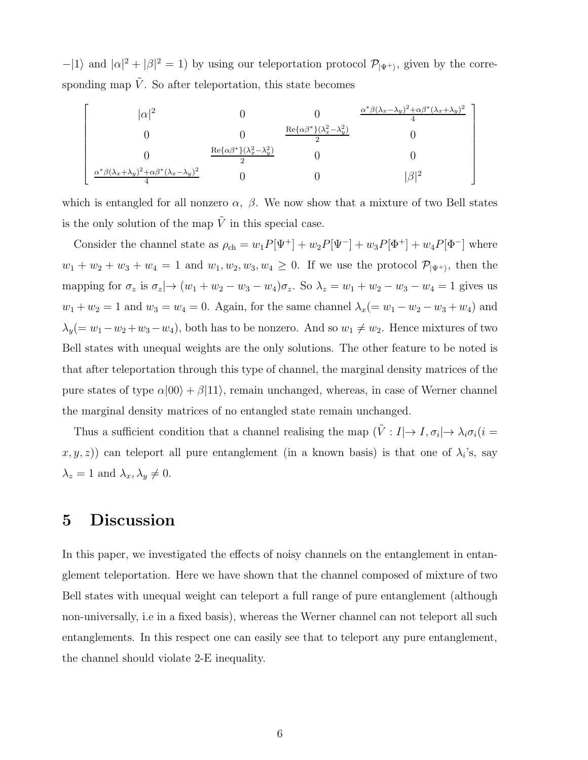$-|1\rangle$  and  $|\alpha|^2 + |\beta|^2 = 1$ ) by using our teleportation protocol  $\mathcal{P}_{|\Psi^+\rangle}$ , given by the corresponding map  $\tilde{V}$ . So after teleportation, this state becomes

$$
\begin{bmatrix}\n|\alpha|^2 & 0 & 0 & \frac{\alpha^* \beta (\lambda_x - \lambda_y)^2 + \alpha \beta^* (\lambda_x + \lambda_y)^2}{4} \\
0 & 0 & \frac{\text{Re}\{\alpha \beta^*\} (\lambda_x^2 - \lambda_y^2)}{2} & 0 \\
0 & \frac{\text{Re}\{\alpha \beta^*\} (\lambda_x^2 - \lambda_y^2)}{2} & 0 & 0 \\
\frac{\alpha^* \beta (\lambda_x + \lambda_y)^2 + \alpha \beta^* (\lambda_x - \lambda_y)^2}{4} & 0 & 0 & |\beta|^2\n\end{bmatrix}
$$

which is entangled for all nonzero  $\alpha$ ,  $\beta$ . We now show that a mixture of two Bell states is the only solution of the map  $\tilde{V}$  in this special case.

Consider the channel state as  $\rho_{ch} = w_1 P[\Psi^+] + w_2 P[\Psi^-] + w_3 P[\Phi^+] + w_4 P[\Phi^-]$  where  $w_1 + w_2 + w_3 + w_4 = 1$  and  $w_1, w_2, w_3, w_4 \geq 0$ . If we use the protocol  $\mathcal{P}_{|\Psi^+\rangle}$ , then the mapping for  $\sigma_z$  is  $\sigma_z \rightarrow (w_1 + w_2 - w_3 - w_4)\sigma_z$ . So  $\lambda_z = w_1 + w_2 - w_3 - w_4 = 1$  gives us  $w_1 + w_2 = 1$  and  $w_3 = w_4 = 0$ . Again, for the same channel  $\lambda_x (= w_1 - w_2 - w_3 + w_4)$  and  $\lambda_y(= w_1 - w_2 + w_3 - w_4)$ , both has to be nonzero. And so  $w_1 \neq w_2$ . Hence mixtures of two Bell states with unequal weights are the only solutions. The other feature to be noted is that after teleportation through this type of channel, the marginal density matrices of the pure states of type  $\alpha|00\rangle + \beta|11\rangle$ , remain unchanged, whereas, in case of Werner channel the marginal density matrices of no entangled state remain unchanged.

Thus a sufficient condition that a channel realising the map  $(\tilde{V} : I | \to I, \sigma_i | \to \lambda_i \sigma_i)$  i  $(x, y, z)$  can teleport all pure entanglement (in a known basis) is that one of  $\lambda_i$ 's, say  $\lambda_z = 1$  and  $\lambda_x, \lambda_y \neq 0$ .

### 5 Discussion

In this paper, we investigated the effects of noisy channels on the entanglement in entanglement teleportation. Here we have shown that the channel composed of mixture of two Bell states with unequal weight can teleport a full range of pure entanglement (although non-universally, i.e in a fixed basis), whereas the Werner channel can not teleport all such entanglements. In this respect one can easily see that to teleport any pure entanglement, the channel should violate 2-E inequality.